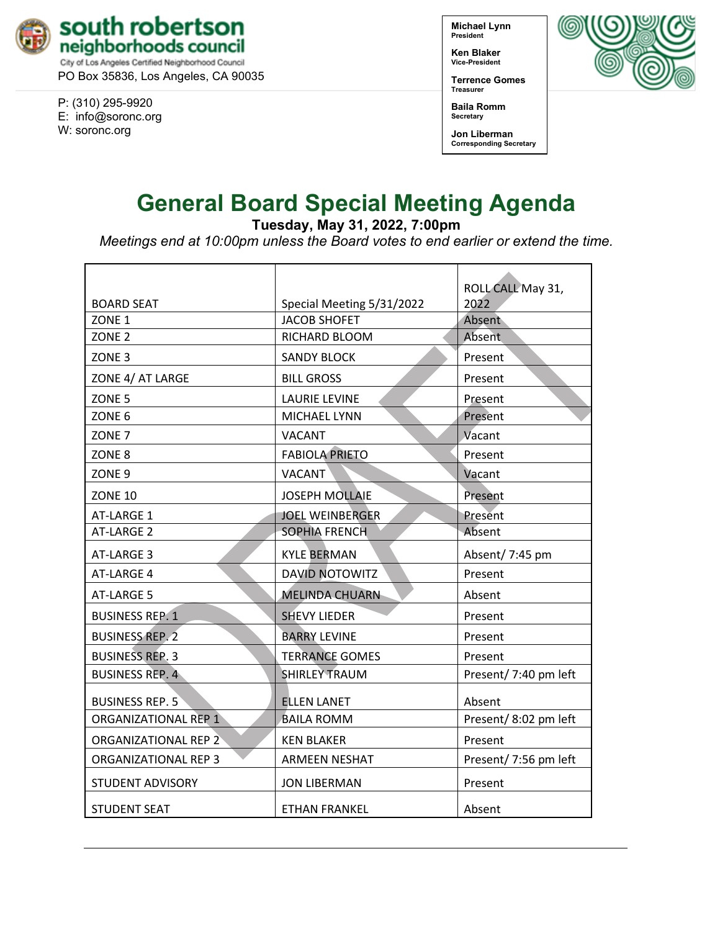

PO Box 35836, Los Angeles, CA 90035

P: (310) 295-9920 E: [info@soronc.org](mailto:info@soronc.org) W: soronc.org

**Michael Lynn President**

**Ken Blaker Vice-President**

**Terrence Gomes Treasurer**

**Baila Romm Secretary**

**Jon Liberman Corresponding Secretary**



## **General Board Special Meeting Agenda**

**Tuesday, May 31, 2022, 7:00pm**

*Meetings end at 10:00pm unless the Board votes to end earlier or extend the time.*

| <b>BOARD SEAT</b>           | Special Meeting 5/31/2022 | ROLL CALL May 31,<br>2022 |
|-----------------------------|---------------------------|---------------------------|
| ZONE <sub>1</sub>           | <b>JACOB SHOFET</b>       | Absent                    |
| ZONE <sub>2</sub>           | RICHARD BLOOM             | Absent                    |
| ZONE <sub>3</sub>           | <b>SANDY BLOCK</b>        | Present                   |
| ZONE 4/ AT LARGE            | <b>BILL GROSS</b>         | Present                   |
| ZONE <sub>5</sub>           | <b>LAURIE LEVINE</b>      | Present                   |
| ZONE <sub>6</sub>           | MICHAEL LYNN              | Present                   |
| ZONE <sub>7</sub>           | <b>VACANT</b>             | Vacant                    |
| ZONE <sub>8</sub>           | <b>FABIOLA PRIETO</b>     | Present                   |
| ZONE <sub>9</sub>           | <b>VACANT</b>             | Vacant                    |
| <b>ZONE 10</b>              | <b>JOSEPH MOLLAIE</b>     | Present                   |
| AT-LARGE 1                  | <b>JOEL WEINBERGER</b>    | Present                   |
| AT-LARGE 2                  | <b>SOPHIA FRENCH</b>      | Absent                    |
| AT-LARGE 3                  | <b>KYLE BERMAN</b>        | Absent/ 7:45 pm           |
| AT-LARGE 4                  | <b>DAVID NOTOWITZ</b>     | Present                   |
| AT-LARGE 5                  | <b>MELINDA CHUARN</b>     | Absent                    |
| <b>BUSINESS REP. 1</b>      | <b>SHEVY LIEDER</b>       | Present                   |
| <b>BUSINESS REP. 2</b>      | <b>BARRY LEVINE</b>       | Present                   |
| <b>BUSINESS REP. 3</b>      | <b>TERRANCE GOMES</b>     | Present                   |
| <b>BUSINESS REP. 4</b>      | <b>SHIRLEY TRAUM</b>      | Present/ 7:40 pm left     |
| <b>BUSINESS REP. 5</b>      | <b>ELLEN LANET</b>        | Absent                    |
| <b>ORGANIZATIONAL REP 1</b> | <b>BAILA ROMM</b>         | Present/8:02 pm left      |
| <b>ORGANIZATIONAL REP 2</b> | <b>KEN BLAKER</b>         | Present                   |
| ORGANIZATIONAL REP 3        | <b>ARMEEN NESHAT</b>      | Present/ 7:56 pm left     |
| STUDENT ADVISORY            | <b>JON LIBERMAN</b>       | Present                   |
| <b>STUDENT SEAT</b>         | <b>ETHAN FRANKEL</b>      | Absent                    |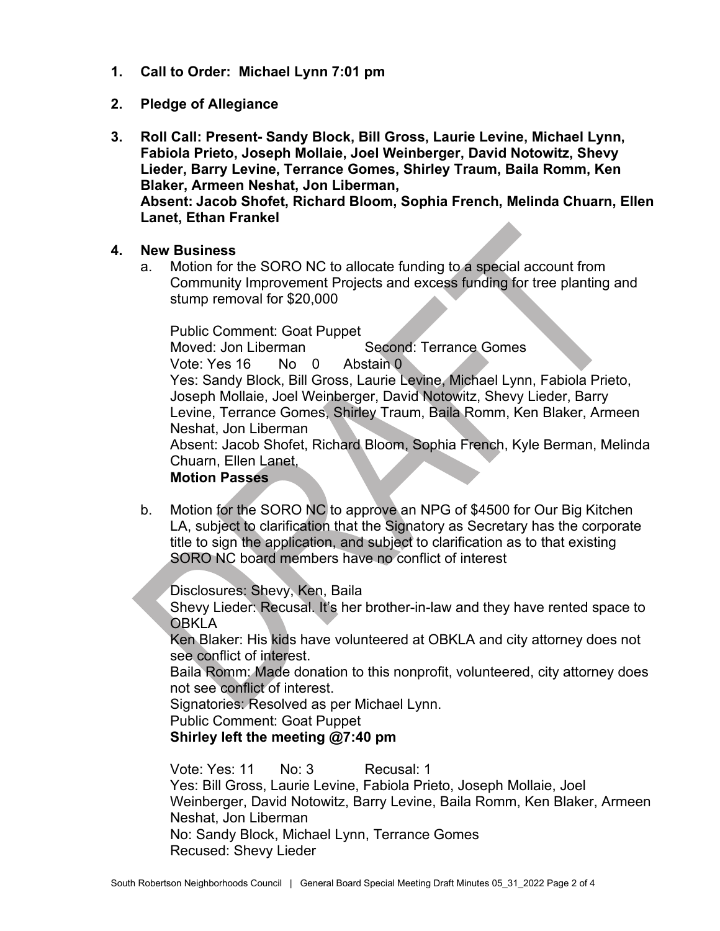- **1. Call to Order: Michael Lynn 7:01 pm**
- **2. Pledge of Allegiance**
- **3. Roll Call: Present- Sandy Block, Bill Gross, Laurie Levine, Michael Lynn, Fabiola Prieto, Joseph Mollaie, Joel Weinberger, David Notowitz, Shevy Lieder, Barry Levine, Terrance Gomes, Shirley Traum, Baila Romm, Ken Blaker, Armeen Neshat, Jon Liberman, Absent: Jacob Shofet, Richard Bloom, Sophia French, Melinda Chuarn, Ellen Lanet, Ethan Frankel**
- **4. New Business**
	- a. Motion for the SORO NC to allocate funding to a special account from Community Improvement Projects and excess funding for tree planting and stump removal for \$20,000

Public Comment: Goat Puppet Moved: Jon Liberman Second: Terrance Gomes Vote: Yes 16 No 0 Abstain 0 Yes: Sandy Block, Bill Gross, Laurie Levine, Michael Lynn, Fabiola Prieto, Joseph Mollaie, Joel Weinberger, David Notowitz, Shevy Lieder, Barry Levine, Terrance Gomes, Shirley Traum, Baila Romm, Ken Blaker, Armeen Neshat, Jon Liberman Absent: Jacob Shofet, Richard Bloom, Sophia French, Kyle Berman, Melinda Chuarn, Ellen Lanet, **Motion Passes**

b. Motion for the SORO NC to approve an NPG of \$4500 for Our Big Kitchen LA, subject to clarification that the Signatory as Secretary has the corporate title to sign the application, and subject to clarification as to that existing SORO NC board members have no conflict of interest

Disclosures: Shevy, Ken, Baila

Shevy Lieder: Recusal. It's her brother-in-law and they have rented space to **OBKLA** 

Ken Blaker: His kids have volunteered at OBKLA and city attorney does not see conflict of interest.

Baila Romm: Made donation to this nonprofit, volunteered, city attorney does not see conflict of interest.

Signatories: Resolved as per Michael Lynn.

Public Comment: Goat Puppet

**Shirley left the meeting @7:40 pm**

Vote: Yes: 11 No: 3 Recusal: 1 Yes: Bill Gross, Laurie Levine, Fabiola Prieto, Joseph Mollaie, Joel Weinberger, David Notowitz, Barry Levine, Baila Romm, Ken Blaker, Armeen Neshat, Jon Liberman No: Sandy Block, Michael Lynn, Terrance Gomes Recused: Shevy Lieder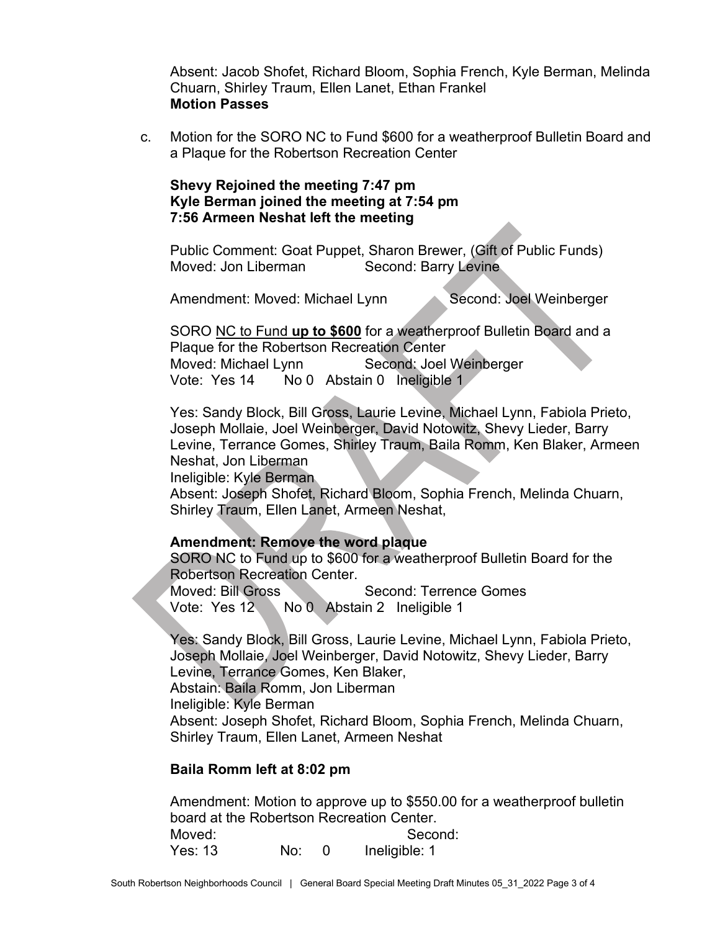Absent: Jacob Shofet, Richard Bloom, Sophia French, Kyle Berman, Melinda Chuarn, Shirley Traum, Ellen Lanet, Ethan Frankel **Motion Passes**

c. Motion for the SORO NC to Fund \$600 for a weatherproof Bulletin Board and a Plaque for the Robertson Recreation Center

## **Shevy Rejoined the meeting 7:47 pm Kyle Berman joined the meeting at 7:54 pm 7:56 Armeen Neshat left the meeting**

Public Comment: Goat Puppet, Sharon Brewer, (Gift of Public Funds) Moved: Jon Liberman Second: Barry Levine

Amendment: Moved: Michael Lynn Second: Joel Weinberger

SORO NC to Fund **up to \$600** for a weatherproof Bulletin Board and a Plaque for the Robertson Recreation Center Moved: Michael Lynn Second: Joel Weinberger Vote: Yes 14 No 0 Abstain 0 Ineligible 1

Yes: Sandy Block, Bill Gross, Laurie Levine, Michael Lynn, Fabiola Prieto, Joseph Mollaie, Joel Weinberger, David Notowitz, Shevy Lieder, Barry Levine, Terrance Gomes, Shirley Traum, Baila Romm, Ken Blaker, Armeen Neshat, Jon Liberman

Ineligible: Kyle Berman

Absent: Joseph Shofet, Richard Bloom, Sophia French, Melinda Chuarn, Shirley Traum, Ellen Lanet, Armeen Neshat,

## **Amendment: Remove the word plaque**

SORO NC to Fund up to \$600 for a weatherproof Bulletin Board for the

Robertson Recreation Center.<br>Moved: Bill Gross Second: Terrence Gomes Vote: Yes 12 No 0 Abstain 2 Ineligible 1

Yes: Sandy Block, Bill Gross, Laurie Levine, Michael Lynn, Fabiola Prieto, Joseph Mollaie, Joel Weinberger, David Notowitz, Shevy Lieder, Barry Levine, Terrance Gomes, Ken Blaker,

Abstain: Baila Romm, Jon Liberman

Ineligible: Kyle Berman

Absent: Joseph Shofet, Richard Bloom, Sophia French, Melinda Chuarn, Shirley Traum, Ellen Lanet, Armeen Neshat

## **Baila Romm left at 8:02 pm**

Amendment: Motion to approve up to \$550.00 for a weatherproof bulletin board at the Robertson Recreation Center. Moved: Second: Yes: 13 No: 0 Ineligible: 1